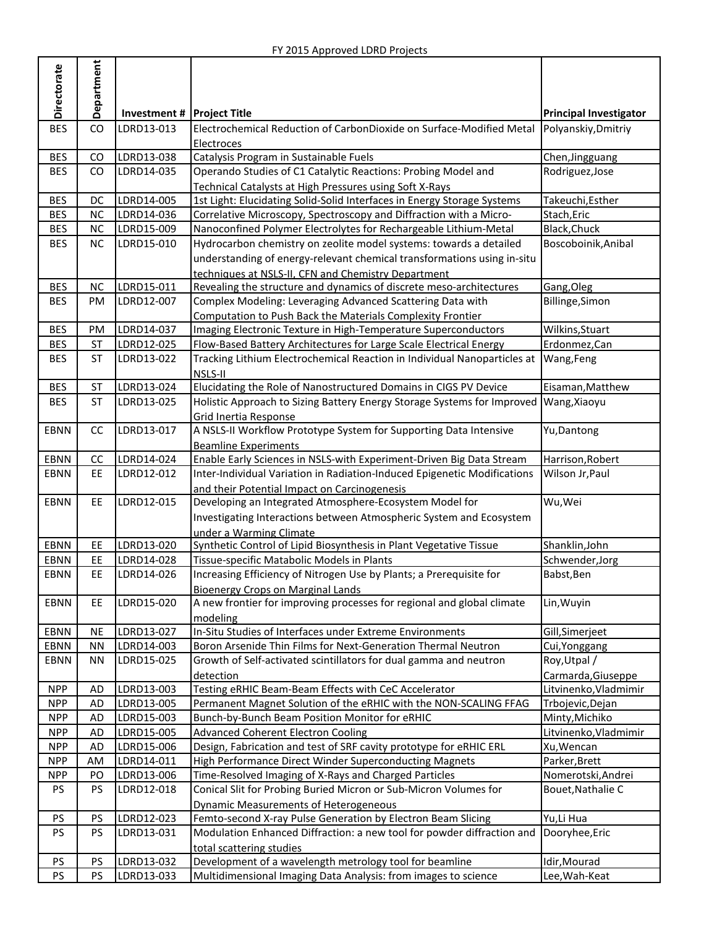|                  | Department |                          |                                                                                                                            |                                         |
|------------------|------------|--------------------------|----------------------------------------------------------------------------------------------------------------------------|-----------------------------------------|
| Directorate      |            |                          |                                                                                                                            |                                         |
|                  |            | Investment#              | <b>Project Title</b>                                                                                                       | <b>Principal Investigator</b>           |
| <b>BES</b>       | CO         | LDRD13-013               | Electrochemical Reduction of CarbonDioxide on Surface-Modified Metal                                                       | Polyanskiy, Dmitriy                     |
|                  |            |                          | Electroces                                                                                                                 |                                         |
| <b>BES</b>       | CO         | LDRD13-038               | Catalysis Program in Sustainable Fuels                                                                                     | Chen, Jingguang                         |
| <b>BES</b>       | CO         | LDRD14-035               | Operando Studies of C1 Catalytic Reactions: Probing Model and                                                              | Rodriguez, Jose                         |
|                  |            |                          | Technical Catalysts at High Pressures using Soft X-Rays                                                                    |                                         |
| <b>BES</b>       | DC         | LDRD14-005               | 1st Light: Elucidating Solid-Solid Interfaces in Energy Storage Systems                                                    | Takeuchi, Esther                        |
| <b>BES</b>       | <b>NC</b>  | LDRD14-036               | Correlative Microscopy, Spectroscopy and Diffraction with a Micro-                                                         | Stach, Eric                             |
| <b>BES</b>       | NC         | LDRD15-009               | Nanoconfined Polymer Electrolytes for Rechargeable Lithium-Metal                                                           | Black, Chuck                            |
| <b>BES</b>       | <b>NC</b>  | LDRD15-010               | Hydrocarbon chemistry on zeolite model systems: towards a detailed                                                         | Boscoboinik, Anibal                     |
|                  |            |                          | understanding of energy-relevant chemical transformations using in-situ                                                    |                                         |
| <b>BES</b>       | NC         | LDRD15-011               | techniques at NSLS-II, CFN and Chemistry Department<br>Revealing the structure and dynamics of discrete meso-architectures |                                         |
| <b>BES</b>       | <b>PM</b>  | LDRD12-007               | Complex Modeling: Leveraging Advanced Scattering Data with                                                                 | Gang, Oleg<br>Billinge, Simon           |
|                  |            |                          | Computation to Push Back the Materials Complexity Frontier                                                                 |                                         |
| <b>BES</b>       | PM         | LDRD14-037               | Imaging Electronic Texture in High-Temperature Superconductors                                                             | Wilkins, Stuart                         |
| <b>BES</b>       | <b>ST</b>  | LDRD12-025               | Flow-Based Battery Architectures for Large Scale Electrical Energy                                                         | Erdonmez, Can                           |
| <b>BES</b>       | <b>ST</b>  | LDRD13-022               | Tracking Lithium Electrochemical Reaction in Individual Nanoparticles at                                                   | Wang, Feng                              |
|                  |            |                          | NSLS-II                                                                                                                    |                                         |
| <b>BES</b>       | <b>ST</b>  | LDRD13-024               | Elucidating the Role of Nanostructured Domains in CIGS PV Device                                                           | Eisaman, Matthew                        |
| <b>BES</b>       | <b>ST</b>  | LDRD13-025               | Holistic Approach to Sizing Battery Energy Storage Systems for Improved                                                    | Wang, Xiaoyu                            |
|                  |            |                          | Grid Inertia Response                                                                                                      |                                         |
| <b>EBNN</b>      | cc         | LDRD13-017               | A NSLS-II Workflow Prototype System for Supporting Data Intensive                                                          | Yu, Dantong                             |
|                  |            |                          | <b>Beamline Experiments</b>                                                                                                |                                         |
| EBNN             | cc         | LDRD14-024               | Enable Early Sciences in NSLS-with Experiment-Driven Big Data Stream                                                       | Harrison, Robert                        |
| <b>EBNN</b>      | <b>EE</b>  | LDRD12-012               | Inter-Individual Variation in Radiation-Induced Epigenetic Modifications                                                   | Wilson Jr, Paul                         |
|                  |            |                          | and their Potential Impact on Carcinogenesis                                                                               |                                         |
| <b>EBNN</b>      | <b>EE</b>  | LDRD12-015               | Developing an Integrated Atmosphere-Ecosystem Model for                                                                    | Wu,Wei                                  |
|                  |            |                          | Investigating Interactions between Atmospheric System and Ecosystem                                                        |                                         |
| <b>EBNN</b>      | EE         | LDRD13-020               | under a Warming Climate<br>Synthetic Control of Lipid Biosynthesis in Plant Vegetative Tissue                              | Shanklin, John                          |
| <b>EBNN</b>      | EE         | LDRD14-028               | Tissue-specific Matabolic Models in Plants                                                                                 | Schwender, Jorg                         |
| <b>EBNN</b>      | EE         | LDRD14-026               | Increasing Efficiency of Nitrogen Use by Plants; a Prerequisite for                                                        | Babst, Ben                              |
|                  |            |                          | <b>Bioenergy Crops on Marginal Lands</b>                                                                                   |                                         |
| EBNN             | EE         | LDRD15-020               | A new frontier for improving processes for regional and global climate                                                     | Lin, Wuyin                              |
|                  |            |                          | modeling                                                                                                                   |                                         |
| EBNN             | <b>NE</b>  | LDRD13-027               | In-Situ Studies of Interfaces under Extreme Environments                                                                   | Gill, Simerjeet                         |
| EBNN             | <b>NN</b>  | LDRD14-003               | Boron Arsenide Thin Films for Next-Generation Thermal Neutron                                                              | Cui, Yonggang                           |
| EBNN             | <b>NN</b>  | LDRD15-025               | Growth of Self-activated scintillators for dual gamma and neutron                                                          | Roy, Utpal /                            |
|                  |            |                          | detection                                                                                                                  | Carmarda, Giuseppe                      |
| <b>NPP</b>       | <b>AD</b>  | LDRD13-003               | Testing eRHIC Beam-Beam Effects with CeC Accelerator                                                                       | Litvinenko, Vladmimir                   |
| <b>NPP</b>       | <b>AD</b>  | LDRD13-005               | Permanent Magnet Solution of the eRHIC with the NON-SCALING FFAG                                                           | Trbojevic, Dejan                        |
| <b>NPP</b>       | <b>AD</b>  | LDRD15-003               | Bunch-by-Bunch Beam Position Monitor for eRHIC                                                                             | Minty, Michiko                          |
| <b>NPP</b>       | <b>AD</b>  | LDRD15-005               | <b>Advanced Coherent Electron Cooling</b>                                                                                  | Litvinenko, Vladmimir                   |
| <b>NPP</b>       | <b>AD</b>  | LDRD15-006               | Design, Fabrication and test of SRF cavity prototype for eRHIC ERL                                                         | Xu, Wencan                              |
| <b>NPP</b>       | AM         | LDRD14-011               | High Performance Direct Winder Superconducting Magnets                                                                     | Parker, Brett                           |
| <b>NPP</b><br>PS | PO<br>PS   | LDRD13-006<br>LDRD12-018 | Time-Resolved Imaging of X-Rays and Charged Particles<br>Conical Slit for Probing Buried Micron or Sub-Micron Volumes for  | Nomerotski, Andrei<br>Bouet, Nathalie C |
|                  |            |                          | <b>Dynamic Measurements of Heterogeneous</b>                                                                               |                                         |
| PS               | PS         | LDRD12-023               | Femto-second X-ray Pulse Generation by Electron Beam Slicing                                                               | Yu, Li Hua                              |
| PS               | PS         | LDRD13-031               | Modulation Enhanced Diffraction: a new tool for powder diffraction and                                                     | Dooryhee, Eric                          |
|                  |            |                          | total scattering studies                                                                                                   |                                         |
| PS               | PS         | LDRD13-032               | Development of a wavelength metrology tool for beamline                                                                    | Idir, Mourad                            |
| PS               | PS         | LDRD13-033               | Multidimensional Imaging Data Analysis: from images to science                                                             | Lee, Wah-Keat                           |